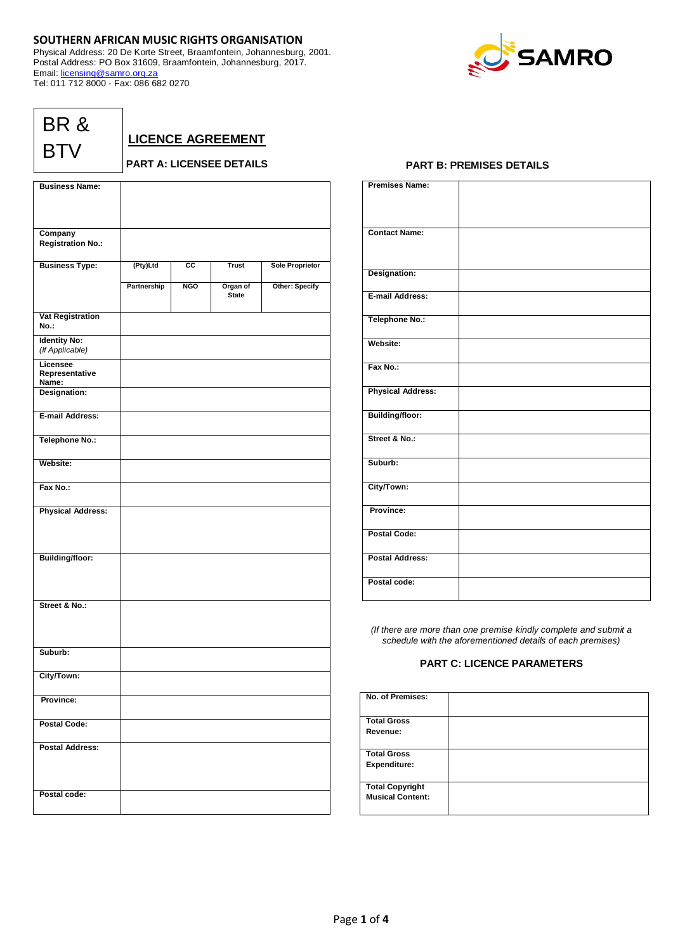## **SOUTHERN AFRICAN MUSIC RIGHTS ORGANISATION**

Physical Address: 20 De Korte Street, Braamfontein, Johannesburg, 2001. Postal Address: PO Box 31609, Braamfontein, Johannesburg, 2017. Email: [licensing@samro.org.za](mailto:licensing@samro.org.za) Tel: 011 712 8000 - Fax: 086 682 0270



| BR & |  |
|------|--|
| BTV  |  |

**LICENCE AGREEMENT**

**PART A: LICENSEE DETAILS**

| <b>Business Name:</b>           |             |            |              |                        |
|---------------------------------|-------------|------------|--------------|------------------------|
|                                 |             |            |              |                        |
|                                 |             |            |              |                        |
| Company                         |             |            |              |                        |
| <b>Registration No.:</b>        |             |            |              |                        |
| <b>Business Type:</b>           | (Pty)Ltd    | СC         | <b>Trust</b> | <b>Sole Proprietor</b> |
|                                 |             |            |              |                        |
|                                 | Partnership | <b>NGO</b> | Organ of     | Other: Specify         |
|                                 |             |            | <b>State</b> |                        |
| <b>Vat Registration</b><br>No.: |             |            |              |                        |
| <b>Identity No:</b>             |             |            |              |                        |
| (If Applicable)                 |             |            |              |                        |
| Licensee<br>Representative      |             |            |              |                        |
| Name:<br>Designation:           |             |            |              |                        |
|                                 |             |            |              |                        |
| E-mail Address:                 |             |            |              |                        |
| <b>Telephone No.:</b>           |             |            |              |                        |
| Website:                        |             |            |              |                        |
| Fax No.:                        |             |            |              |                        |
| <b>Physical Address:</b>        |             |            |              |                        |
|                                 |             |            |              |                        |
|                                 |             |            |              |                        |
| <b>Building/floor:</b>          |             |            |              |                        |
|                                 |             |            |              |                        |
|                                 |             |            |              |                        |
|                                 |             |            |              |                        |
| Street & No.:                   |             |            |              |                        |
|                                 |             |            |              |                        |
|                                 |             |            |              |                        |
| Suburb:                         |             |            |              |                        |
|                                 |             |            |              |                        |
| City/Town:                      |             |            |              |                        |
| Province:                       |             |            |              |                        |
| <b>Postal Code:</b>             |             |            |              |                        |
| <b>Postal Address:</b>          |             |            |              |                        |
|                                 |             |            |              |                        |
|                                 |             |            |              |                        |
| Postal code:                    |             |            |              |                        |
|                                 |             |            |              |                        |

## **PART B: PREMISES DETAILS**

| <b>Premises Name:</b>    |  |
|--------------------------|--|
|                          |  |
|                          |  |
|                          |  |
|                          |  |
|                          |  |
|                          |  |
| <b>Contact Name:</b>     |  |
|                          |  |
|                          |  |
|                          |  |
|                          |  |
|                          |  |
| Designation:             |  |
|                          |  |
|                          |  |
| E-mail Address:          |  |
|                          |  |
|                          |  |
|                          |  |
| Telephone No.:           |  |
|                          |  |
|                          |  |
| Website:                 |  |
|                          |  |
|                          |  |
|                          |  |
| Fax No.:                 |  |
|                          |  |
|                          |  |
| <b>Physical Address:</b> |  |
|                          |  |
|                          |  |
|                          |  |
| <b>Building/floor:</b>   |  |
|                          |  |
|                          |  |
| Street & No.:            |  |
|                          |  |
|                          |  |
|                          |  |
| Suburb:                  |  |
|                          |  |
|                          |  |
| City/Town:               |  |
|                          |  |
|                          |  |
| Province:                |  |
|                          |  |
|                          |  |
|                          |  |
| <b>Postal Code:</b>      |  |
|                          |  |
|                          |  |
| <b>Postal Address:</b>   |  |
|                          |  |
|                          |  |
|                          |  |
| Postal code:             |  |
|                          |  |
|                          |  |
|                          |  |

*(If there are more than one premise kindly complete and submit a schedule with the aforementioned details of each premises)*

# **PART C: LICENCE PARAMETERS**

| No. of Premises:        |  |
|-------------------------|--|
|                         |  |
|                         |  |
|                         |  |
| <b>Total Gross</b>      |  |
|                         |  |
| Revenue:                |  |
|                         |  |
|                         |  |
| <b>Total Gross</b>      |  |
|                         |  |
| <b>Expenditure:</b>     |  |
|                         |  |
|                         |  |
| <b>Total Copyright</b>  |  |
|                         |  |
| <b>Musical Content:</b> |  |
|                         |  |
|                         |  |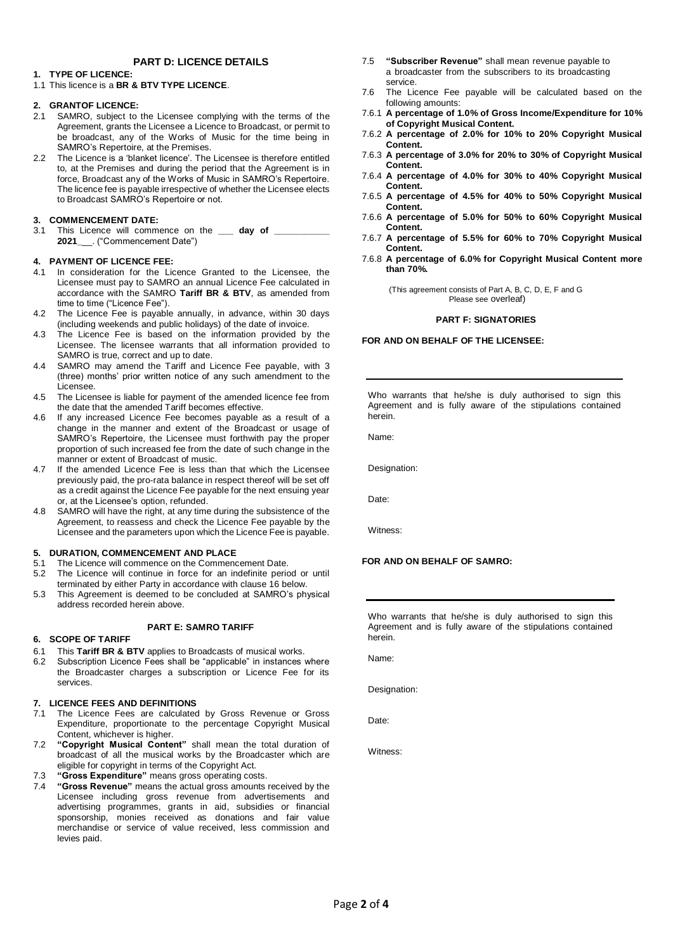## **PART D: LICENCE DETAILS**

## **1. TYPE OF LICENCE:**

1.1 This licence is a **BR & BTV TYPE LICENCE**.

### **2. GRANTOF LICENCE:**

- 2.1 SAMRO, subject to the Licensee complying with the terms of the Agreement, grants the Licensee a Licence to Broadcast, or permit to be broadcast, any of the Works of Music for the time being in SAMRO's Repertoire, at the Premises.
- 2.2 The Licence is a 'blanket licence'. The Licensee is therefore entitled to, at the Premises and during the period that the Agreement is in force, Broadcast any of the Works of Music in SAMRO's Repertoire. The licence fee is payable irrespective of whether the Licensee elects to Broadcast SAMRO's Repertoire or not.

### **3. COMMENCEMENT DATE:**

3.1 This Licence will commence on the \_\_\_\_\_ day of \_\_\_\_ **2021\_**\_\_. ("Commencement Date")

### **4. PAYMENT OF LICENCE FEE:**

- 4.1 In consideration for the Licence Granted to the Licensee, the Licensee must pay to SAMRO an annual Licence Fee calculated in accordance with the SAMRO **Tariff BR & BTV**, as amended from time to time ("Licence Fee").
- 4.2 The Licence Fee is payable annually, in advance, within 30 days (including weekends and public holidays) of the date of invoice.
- 4.3 The Licence Fee is based on the information provided by the Licensee. The licensee warrants that all information provided to SAMRO is true, correct and up to date.
- 4.4 SAMRO may amend the Tariff and Licence Fee payable, with 3 (three) months' prior written notice of any such amendment to the Licensee.
- 4.5 The Licensee is liable for payment of the amended licence fee from the date that the amended Tariff becomes effective.
- 4.6 If any increased Licence Fee becomes payable as a result of a change in the manner and extent of the Broadcast or usage of SAMRO's Repertoire, the Licensee must forthwith pay the proper proportion of such increased fee from the date of such change in the manner or extent of Broadcast of music.
- 4.7 If the amended Licence Fee is less than that which the Licensee previously paid, the pro-rata balance in respect thereof will be set off as a credit against the Licence Fee payable for the next ensuing year or, at the Licensee's option, refunded.
- 4.8 SAMRO will have the right, at any time during the subsistence of the Agreement, to reassess and check the Licence Fee payable by the Licensee and the parameters upon which the Licence Fee is payable.

## **5. DURATION, COMMENCEMENT AND PLACE**

- 5.1 The Licence will commence on the Commencement Date.
- 5.2 The Licence will continue in force for an indefinite period or until terminated by either Party in accordance with clause 16 below.
- 5.3 This Agreement is deemed to be concluded at SAMRO's physical address recorded herein above.

#### **PART E: SAMRO TARIFF**

## **6. SCOPE OF TARIFF**

- 6.1 This **Tariff BR & BTV** applies to Broadcasts of musical works.
- 6.2 Subscription Licence Fees shall be "applicable" in instances where the Broadcaster charges a subscription or Licence Fee for its services.

#### **7. LICENCE FEES AND DEFINITIONS**

- 7.1 The Licence Fees are calculated by Gross Revenue or Gross Expenditure, proportionate to the percentage Copyright Musical Content, whichever is higher.
- 7.2 **"Copyright Musical Content"** shall mean the total duration of broadcast of all the musical works by the Broadcaster which are eligible for copyright in terms of the Copyright Act.
- 7.3 **"Gross Expenditure"** means gross operating costs.
- 7.4 **"Gross Revenue"** means the actual gross amounts received by the Licensee including gross revenue from advertisements and advertising programmes, grants in aid, subsidies or financial sponsorship, monies received as donations and fair value merchandise or service of value received, less commission and levies paid.
- 7.5 **"Subscriber Revenue"** shall mean revenue payable to a broadcaster from the subscribers to its broadcasting service.
- 7.6 The Licence Fee payable will be calculated based on the following amounts:
- 7.6.1 **A percentage of 1.0% of Gross Income/Expenditure for 10% of Copyright Musical Content.**
- 7.6.2 **A percentage of 2.0% for 10% to 20% Copyright Musical Content.**
- 7.6.3 **A percentage of 3.0% for 20% to 30% of Copyright Musical Content.**
- 7.6.4 **A percentage of 4.0% for 30% to 40% Copyright Musical Content.**
- 7.6.5 **A percentage of 4.5% for 40% to 50% Copyright Musical Content.**
- 7.6.6 **A percentage of 5.0% for 50% to 60% Copyright Musical Content.**
- 7.6.7 **A percentage of 5.5% for 60% to 70% Copyright Musical Content.**
- 7.6.8 **A percentage of 6.0% for Copyright Musical Content more than 70%.**

(This agreement consists of Part A, B, C, D, E, F and G Please see overleaf)

#### **PART F: SIGNATORIES**

## **FOR AND ON BEHALF OF THE LICENSEE:**

Who warrants that he/she is duly authorised to sign this Agreement and is fully aware of the stipulations contained herein.

Name:

Designation:

Date:

Witness:

## **FOR AND ON BEHALF OF SAMRO:**

Who warrants that he/she is duly authorised to sign this Agreement and is fully aware of the stipulations contained herein.

Name:

Designation:

Date:

Witness: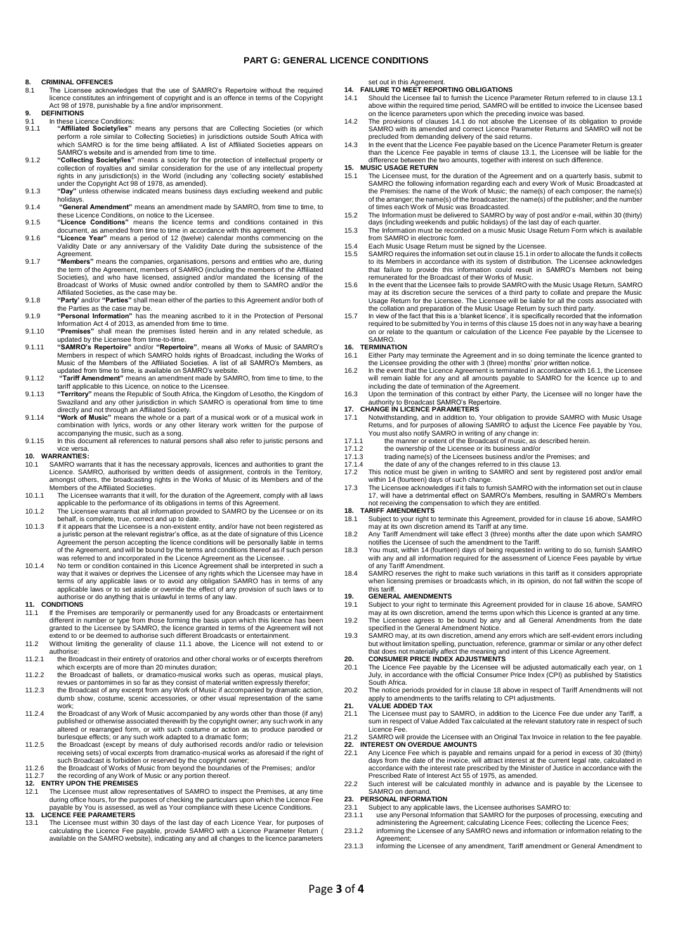### **PART G: GENERAL LICENCE CONDITIONS**

#### **8. CRIMINAL OFFENCES**

- 8.1 The Licensee acknowledges that the use of SAMRO's Repertoire without the required licence constitutes an infringement of copyright and is an offence in terms of the Copyright Act 98 of 1978, punishable by a fine and/or imprisonment.
- **9. DEFINITIONS**
- 9.1 In these Licence Conditions:<br>9.1. **Conditional Conditions** 9.1.1 "Affiliated Society/ies" means any persons that are Collecting Societies (or which perform a role similar to Collecting Societies) in jurisdictions outside South Africa with which SAMRO is for the time being affiliat
- 9.1.2 **"Collecting Society/ies"** means a society for the protection of intellectual property or collection of royalties and similar consideration for the use of any intellectual property rights in any jurisdiction(s) in the World (including any 'collecting society' established under the Copyright Act 98 of 1978, as amended).
- 9.1.3 **"Day"** unless otherwise indicated means business days excluding weekend and public
- holidays. 9.1.4 **"General Amendment"** means an amendment made by SAMRO, from time to time, to these Licence Conditions, on notice to the Licensee. 9.1.5 **"Licence Conditions"** means the licence terms and conditions contained in this
- 
- document, as amended from time to time in accordance with this agreement. 9.1.6 **"Licence Year"** means a period of 12 (twelve) calendar months commencing on the Validity Date or any anniversary of the Validity Date during the subsistence of the
- Agreement.<br>9.1.7 **"Members**" means the companies, organisations, persons and entities who are, during<br>the term of the Agreement, members of SAMRO (including the members of the Affiliated Societies), and who have licensed, assigned and/or mandated the licensing of the Broadcast of Works of Music owned and/or controlled by them to SAMRO and/or the Affiliated Societies, as the case may be.
- 9.1.8 **"Party'** and/or **"Parties"** shall mean either of the parties to this Agreement and/or both of the Parties as the case may be.
- 9.1.9 **"Personal Information"** has the meaning ascribed to it in the Protection of Personal
- Information Act 4 of 2013, as amended from time to time. 9.1.10 **"Premises"** shall mean the premises listed herein and in any related schedule, as updated by the Licensee from time-to-time.
- 9.1.11 **"SAMRO's Repertoire"** and/or **"Repertoire"**, means all Works of Music of SAMRO's Members in respect of which SAMRO holds rights of Broadcast, including the Works of Music of the Members of the Affiliated Societies. A list of all SAMRO's Members, as<br>updated from time to time, is available on SAMRO's website.<br>9.1.12 "Tar**iff Amendment"** means an amendment made by SAMRO, from time to tim
- tariff applicable to this Licence, on notice to the Licensee. 9.1.13 **"Territory"** means the Republic of South Africa, the Kingdom of Lesotho, the Kingdom of
- Swaziland and any other jurisdiction in which SAMRO is operational from time to time directly and not through an Affiliated Society.
- 9.1.14 **"Work of Music"** means the whole or a part of a musical work or of a musical work in combination with lyrics, words or any other literary work written for the purpose of accompanying the music, such as a song. 9.1.15 In this document all references to natural persons shall also refer to juristic persons and
- vice versa.

# **10. WARRANTIES:**

- 10.1 SAMRO warrants that it has the necessary approvals, licences and authorities to grant the Licence. SAMRO, authorised by written deeds of assignment, controls in the Territory, amongst others, the broadcasting rights in the Works of Music of its Members and of the ers of the Affiliated Societies
- 10.1.1 The Licensee warrants that it will, for the duration of the Agreement, comply with all laws applicable to the performance of its obligations in terms of this Agreement. 10.1.2 The Licensee warrants that all information provided to SAMRO by the Licensee or on its
- behalf, is complete, true, correct and up to date. 10.1.3 If it appears that the Licensee is a non-existent entity, and/or have not been registered as
- a juristic person at the relevant registrar's office, as at the date of signature of this Licence Agreement the person accepting the licence conditions will be personally liable in terms of the Agreement, and will be bound by the terms and conditions thereof as if such person was referred to and incorporated in the Licence Agreement as the Licensee. .
- 10.1.4 No term or condition contained in this Licence Agreement shall be interpreted in such a<br>way that it waives or deprives the Licensee of any rights which the Licensee may have in<br>terms of any applicable laws or to avo applicable laws or to set aside or override the effect of any provision of such laws or to authorise or do anything that is unlawful in terms of any law.

# **11. CONDITIONS**

- If the Premises are temporarily or permanently used for any Broadcasts or entertainment different in number or type from those forming the basis upon which this licence has been granted to the Licensee by SAMRO, the licence granted in terms of the Agreement will not extend to or be deemed to authorise such different Broadcasts or entertainment.
- 11.2 Without limiting the generality of clause 11.1 above, the Licence will not extend to or authorise:
- 11.2.1 the Broadcast in their entirety of oratorios and other choral works or of excerpts therefrom
- which excerpts are of more than 20 minutes duration;<br>11.2.2 the Broadcast of ballets, or dramatico-musical works such as operas, musical plays, revues or pantomimes in so far as they consist of material written expressly therefor;
- 11.2.3 the Broadcast of any excerpt from any Work of Music if accompanied by dramatic action, dumb show, costume, scenic accessories, or other visual representation of the same
- work; 11.2.4 the Broadcast of any Work of Music accompanied by any words other than those (if any) published or otherwise associated therewith by the copyright owner; any such work in any altered or rearranged form, or with such costume or action as to produce parodied or
- burlesque effects; or any such work adapted to a dramatic form; 11.2.5 the Broadcast (except by means of duly authorised records and/or radio or television receiving sets) of vocal excerpts from dramatico-musical works as aforesaid if the right of such Broadcast is forbidden or reserved by the copyright owner;
- 11.2.6 the Broadcast of Works of Music from beyond the boundaries of the Premises; and/or
- 11.2.7 the recording of any Work of Music or any portion thereof. **12. ENTRY UPON THE PREMISES**

12.1 The Licensee must allow representatives of SAMRO to inspect the Premises, at any time during office hours, for the purposes of checking the particulars upon which the Licence Fee payable by You is assessed, as well as Your compliance with these Licence Conditions. **13. LICENCE FEE PARAMETERS**

13.1 The Licensee must within 30 days of the last day of each Licence Year, for purposes of<br>calculating the Licence Fee payable, provide SAMRO with a Licence Parameter Return<br>available on the SAMRO website), indicating any

- set out in this Agreement. **14. FAILURE TO MEET REPORTING OBLIGATIONS**
- 14.1 Should the Licensee fail to furnish the Licence Parameter Return referred to in clause 13.1 above within the required time period, SAMRO will be entitled to invoice the Licensee based
- on the licence parameters upon which the preceding invoice was based. 14.2 The provisions of clauses 14.1 do not absolve the Licensee of its obligation to provide SAMRO with its amended and correct Licence Parameter Returns and SAMRO will not be
- precluded from demanding delivery of the said returns.<br>14.3 In the event that the Licence Fee payable based on the Licence Parameter Return is greater<br>than the Licence Fee payable in terms of clause 13.1, the Licensee will difference between the two amounts, together with interest on such difference.
- **15. MUSIC USAGE RETURN**
- 15.1 The Licensee must, for the duration of the Agreement and on a quarterly basis, submit to SAMRO the following information regarding each and every Work of Music Broadcasted at<br>the Premises: the name of the Work of Musi of the arranger; the name(s) of the broadcaster; the name(s) of the publisher; and the number of times each Work of Music was Broadcasted.
- 15.2 The Information must be delivered to SAMRO by way of post and/or e-mail, within 30 (thirty)
- days (including weekends and public holidays) of the last day of each quarter. 15.3 The Information must be recorded on a music Music Usage Return Form which is available from SAMRO in electronic form.
- 
- 15.4 Each Music Usage Return must be signed by the Licensee. 15.5 SAMRO requires the information set out in clause 15.1 in order to allocate the funds it collects to its Members in accordance with its system of distribution. The Licensee acknowledges<br>that failure to provide this information could result in SAMRO's Members not being<br>remunerated for the Broadcast of their Works of Mus
- 15.6 In the event that the Licensee fails to provide SAMRO with the Music Usage Return, SAMRO may at its discretion secure the services of a third party to collate and prepare the Music<br>Usage Return for the Licensee. The Licensee will be liable for all the costs associated with<br>the collation and preparation of the
- 15.7 In view of the fact that this is a 'blanket licence', it is specifically recorded that the information required to be submitted by You in terms of this clause 15 does not in any way have a bearing on or relate to the quantum or calculation of the Licence Fee payable by the Licensee to SAMRO.

#### **16. TERMINATION**

- Either Party may terminate the Agreement and in so doing terminate the licence granted to the Licensee providing the other with 3 (three) months' prior written notice. 16.2 In the event that the Licence Agreement is terminated in accordance with 16.1, the Licensee
- will remain liable for any and all amounts payable to SAMRO for the licence up to and<br>including the date of termination of the Agreement.<br>16.3 Upon the termination of this contract by either Party, the Licensee will no lon
- 

# authority to Broadcast SAMRO's Repertoire. **17. CHANGE IN LICENCE PARAMETERS**

- 17.1 Notwithstanding, and in addition to, Your obligation to provide SAMRO with Music Usage Returns, and for purposes of allowing SAMRO to adjust the Licence Fee payable by You,
- You must also notify SAMRO in writing of any change in:<br>17.1.1 the manner or extent of the Broadcast of music, as described herein.
- 
- 17.1.2 the ownership of the Licensee or its business and/or 17.1.3 trading name(s) of the Licensees business and/or the Premises; and
- 17.1.4 the date of any of the changes referred to in this clause 13. 17.2 This notice must be given in writing to SAMRO and sent by registered post and/or email
- 
- within 14 (fourteen) days of such change.<br>17.3 The Licensee acknowledges if it fails to furnish SAMRO with the information set out in clause<br>17, will have a detrimental effect on SAMRO's Members, resulting in SAMRO's Membe

# not receiving the compensation to which they are entitled. **18. TARIFF AMENDMENTS**

- 18.1 Subject to your right to terminate this Agreement, provided for in clause 16 above, SAMRO may at its own discretion amend its Tariff at any time.
- 18.2 Any Tariff Amendment will take effect 3 (three) months after the date upon which SAMRO notifies the Licensee of such the amendment to the Tariff.
- 18.3 You must, within 14 (fourteen) days of being requested in writing to do so, furnish SAMRO with any and all information required for the assessment of Licence Fees payable by virtue of any Tariff Amendment.
- 18.4 SAMRO reserves the right to make such variations in this tariff as it considers appropriate when licensing premises or broadcasts which, in its opinion, do not fall within the scope of this tariff.

#### **19. GENERAL AMENDMENTS**

- 19.1 Subject to your right to terminate this Agreement provided for in clause 16 above, SAMRO may at its own discretion, amend the terms upon which this Licence is granted at any time.
- 19.2 The Licensee agrees to be bound by any and all General Amendments from the date specified in the General Amendment Notice.
- 19.3 SAMRO may, at its own discretion, amend any errors which are self-evident errors including but without limitation spelling, punctuation, reference, grammar or similar or any other defect that does not materially affect the meaning and intent of this Licence Agreement.

### **20. CONSUMER PRICE INDEX ADJUSTMENTS**

- 20.1 The Licence Fee payable by the Licensee will be adjusted automatically each year, on 1 July, in accordance with the official Consumer Price Index (CPI) as published by Statistics South Africa.
- 20.2 The notice periods provided for in clause 18 above in respect of Tariff Amendments will not apply to amendments to the tariffs relating to CPI adjustments.

# 21. **VALUE ADDED TAX**<br>21.1 The Licensee must ba

21.1 The Licensee must pay to SAMRO, in addition to the Licence Fee due under any Tariff, a sum in respect of Value Added Tax calculated at the relevant statutory rate in respect of such Licence Fee.

# 21.2 SAMRO will provide the Licensee with an Original Tax Invoice in relation to the fee payable. **22. INTEREST ON OVERDUE AMOUNTS**

- 22.1 Any Licence Fee which is payable and remains unpaid for a period in excess of 30 (thirty)<br>days from the date of the invoice, will attract interest at the current legal rate, calculated in<br>accordance with the interest Prescribed Rate of Interest Act 55 of 1975, as amended.
- 22.2 Such interest will be calculated monthly in advance and is payable by the Licensee to SAMRO on demand. **23. PERSONAL INFORMATION**

- 23.1 Subject to any applicable laws, the Licensee authorises SAMRO to: 23.1.1 use any Personal Information that SAMRO for the purposes of processing, executing and
- administering the Agreement; calculating Licence Fees; collecting the Licence Fees; 23.1.2 informing the Licensee of any SAMRO news and information or information relating to the
- Agreement;
- 23.1.3 informing the Licensee of any amendment, Tariff amendment or General Amendment to